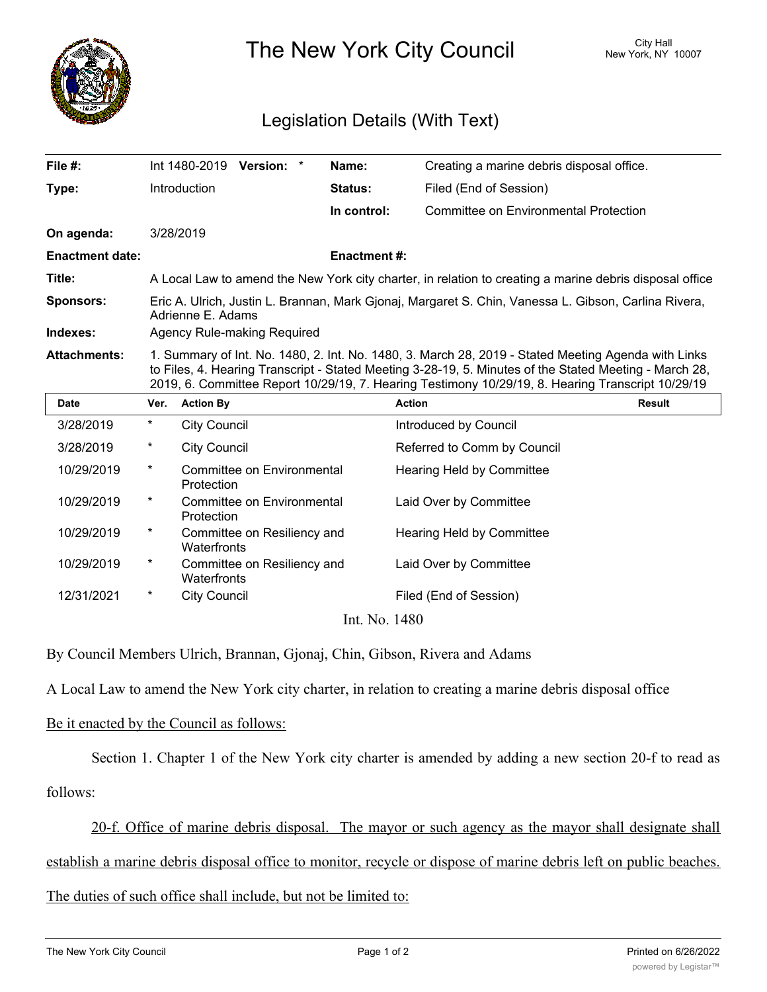

The New York City Council New York, NY 10007

## Legislation Details (With Text)

| File #:                | Int 1480-2019<br><b>Version:</b>                                                                                                                                                                                                                                                                                   |  | Name:               | Creating a marine debris disposal office. |  |
|------------------------|--------------------------------------------------------------------------------------------------------------------------------------------------------------------------------------------------------------------------------------------------------------------------------------------------------------------|--|---------------------|-------------------------------------------|--|
| Type:                  | Introduction                                                                                                                                                                                                                                                                                                       |  | <b>Status:</b>      | Filed (End of Session)                    |  |
|                        |                                                                                                                                                                                                                                                                                                                    |  | In control:         | Committee on Environmental Protection     |  |
| On agenda:             | 3/28/2019                                                                                                                                                                                                                                                                                                          |  |                     |                                           |  |
| <b>Enactment date:</b> |                                                                                                                                                                                                                                                                                                                    |  | <b>Enactment #:</b> |                                           |  |
| Title:                 | A Local Law to amend the New York city charter, in relation to creating a marine debris disposal office                                                                                                                                                                                                            |  |                     |                                           |  |
| <b>Sponsors:</b>       | Eric A. Ulrich, Justin L. Brannan, Mark Gjonaj, Margaret S. Chin, Vanessa L. Gibson, Carlina Rivera,<br>Adrienne E. Adams                                                                                                                                                                                          |  |                     |                                           |  |
| Indexes:               | Agency Rule-making Required                                                                                                                                                                                                                                                                                        |  |                     |                                           |  |
| <b>Attachments:</b>    | 1. Summary of Int. No. 1480, 2. Int. No. 1480, 3. March 28, 2019 - Stated Meeting Agenda with Links<br>to Files, 4. Hearing Transcript - Stated Meeting 3-28-19, 5. Minutes of the Stated Meeting - March 28,<br>2019, 6. Committee Report 10/29/19, 7. Hearing Testimony 10/29/19, 8. Hearing Transcript 10/29/19 |  |                     |                                           |  |

| <b>Date</b>   | Ver.     | <b>Action By</b>                           | <b>Action</b>                    | <b>Result</b> |  |  |
|---------------|----------|--------------------------------------------|----------------------------------|---------------|--|--|
| 3/28/2019     | $^\star$ | <b>City Council</b>                        | Introduced by Council            |               |  |  |
| 3/28/2019     | $\ast$   | <b>City Council</b>                        | Referred to Comm by Council      |               |  |  |
| 10/29/2019    | $\ast$   | Committee on Environmental<br>Protection   | Hearing Held by Committee        |               |  |  |
| 10/29/2019    | $\ast$   | Committee on Environmental<br>Protection   | Laid Over by Committee           |               |  |  |
| 10/29/2019    | $^\ast$  | Committee on Resiliency and<br>Waterfronts | <b>Hearing Held by Committee</b> |               |  |  |
| 10/29/2019    | $\ast$   | Committee on Resiliency and<br>Waterfronts | Laid Over by Committee           |               |  |  |
| 12/31/2021    | $^\ast$  | <b>City Council</b>                        | Filed (End of Session)           |               |  |  |
| Int. No. 1480 |          |                                            |                                  |               |  |  |

By Council Members Ulrich, Brannan, Gjonaj, Chin, Gibson, Rivera and Adams

A Local Law to amend the New York city charter, in relation to creating a marine debris disposal office

## Be it enacted by the Council as follows:

Section 1. Chapter 1 of the New York city charter is amended by adding a new section 20-f to read as follows:

20-f. Office of marine debris disposal. The mayor or such agency as the mayor shall designate shall establish a marine debris disposal office to monitor, recycle or dispose of marine debris left on public beaches.

## The duties of such office shall include, but not be limited to: